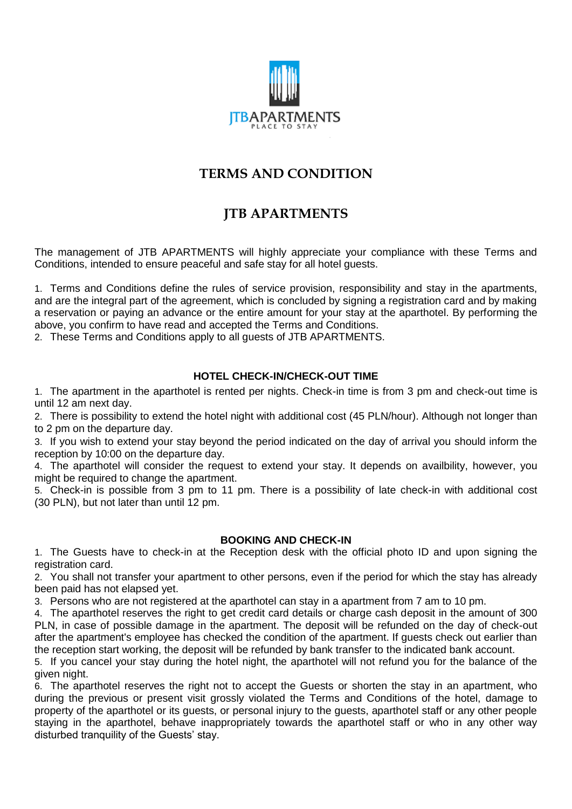

# **TERMS AND CONDITION**

# **JTB APARTMENTS**

The management of JTB APARTMENTS will highly appreciate your compliance with these Terms and Conditions, intended to ensure peaceful and safe stay for all hotel guests.

1. Terms and Conditions define the rules of service provision, responsibility and stay in the apartments, and are the integral part of the agreement, which is concluded by signing a registration card and by making a reservation or paying an advance or the entire amount for your stay at the aparthotel. By performing the above, you confirm to have read and accepted the Terms and Conditions.

2. These Terms and Conditions apply to all guests of JTB APARTMENTS.

### **HOTEL CHECK-IN/CHECK-OUT TIME**

1. The apartment in the aparthotel is rented per nights. Check-in time is from 3 pm and check-out time is until 12 am next day.

2. There is possibility to extend the hotel night with additional cost (45 PLN/hour). Although not longer than to 2 pm on the departure day.

3. If you wish to extend your stay beyond the period indicated on the day of arrival you should inform the reception by 10:00 on the departure day.

4. The aparthotel will consider the request to extend your stay. It depends on availbility, however, you might be required to change the apartment.

5. Check-in is possible from 3 pm to 11 pm. There is a possibility of late check-in with additional cost (30 PLN), but not later than until 12 pm.

### **BOOKING AND CHECK-IN**

1. The Guests have to check-in at the Reception desk with the official photo ID and upon signing the registration card.

2. You shall not transfer your apartment to other persons, even if the period for which the stay has already been paid has not elapsed yet.

3. Persons who are not registered at the aparthotel can stay in a apartment from 7 am to 10 pm.

4. The aparthotel reserves the right to get credit card details or charge cash deposit in the amount of 300 PLN, in case of possible damage in the apartment. The deposit will be refunded on the day of check-out after the apartment's employee has checked the condition of the apartment. If guests check out earlier than the reception start working, the deposit will be refunded by bank transfer to the indicated bank account.

5. If you cancel your stay during the hotel night, the aparthotel will not refund you for the balance of the given night.

6. The aparthotel reserves the right not to accept the Guests or shorten the stay in an apartment, who during the previous or present visit grossly violated the Terms and Conditions of the hotel, damage to property of the aparthotel or its guests, or personal injury to the guests, aparthotel staff or any other people staying in the aparthotel, behave inappropriately towards the aparthotel staff or who in any other way disturbed tranquility of the Guests' stay.